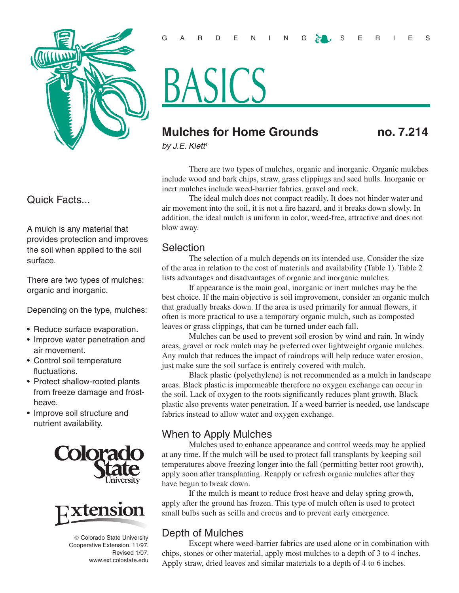

# Quick Facts...

A mulch is any material that provides protection and improves the soil when applied to the soil surface.

There are two types of mulches: organic and inorganic.

Depending on the type, mulches:

- Reduce surface evaporation.
- Improve water penetration and air movement.
- Control soil temperature fluctuations.
- Protect shallow-rooted plants from freeze damage and frostheave.
- Improve soil structure and nutrient availability.





 Colorado State University Cooperative Extension. 11/97. Revised 1/07. www.ext.colostate.edu

# BASICS

# **Mulches for Home Grounds no. 7.214**

*by J.E. Klett1*

There are two types of mulches, organic and inorganic. Organic mulches include wood and bark chips, straw, grass clippings and seed hulls. Inorganic or inert mulches include weed-barrier fabrics, gravel and rock.

The ideal mulch does not compact readily. It does not hinder water and air movement into the soil, it is not a fire hazard, and it breaks down slowly. In addition, the ideal mulch is uniform in color, weed-free, attractive and does not blow away.

#### **Selection**

The selection of a mulch depends on its intended use. Consider the size of the area in relation to the cost of materials and availability (Table 1). Table 2 lists advantages and disadvantages of organic and inorganic mulches.

If appearance is the main goal, inorganic or inert mulches may be the best choice. If the main objective is soil improvement, consider an organic mulch that gradually breaks down. If the area is used primarily for annual flowers, it often is more practical to use a temporary organic mulch, such as composted leaves or grass clippings, that can be turned under each fall.

Mulches can be used to prevent soil erosion by wind and rain. In windy areas, gravel or rock mulch may be preferred over lightweight organic mulches. Any mulch that reduces the impact of raindrops will help reduce water erosion, just make sure the soil surface is entirely covered with mulch.

Black plastic (polyethylene) is not recommended as a mulch in landscape areas. Black plastic is impermeable therefore no oxygen exchange can occur in the soil. Lack of oxygen to the roots significantly reduces plant growth. Black plastic also prevents water penetration. If a weed barrier is needed, use landscape fabrics instead to allow water and oxygen exchange.

# When to Apply Mulches

Mulches used to enhance appearance and control weeds may be applied at any time. If the mulch will be used to protect fall transplants by keeping soil temperatures above freezing longer into the fall (permitting better root growth), apply soon after transplanting. Reapply or refresh organic mulches after they have begun to break down.

If the mulch is meant to reduce frost heave and delay spring growth, apply after the ground has frozen. This type of mulch often is used to protect small bulbs such as scilla and crocus and to prevent early emergence.

# Depth of Mulches

Except where weed-barrier fabrics are used alone or in combination with chips, stones or other material, apply most mulches to a depth of 3 to 4 inches. Apply straw, dried leaves and similar materials to a depth of 4 to 6 inches.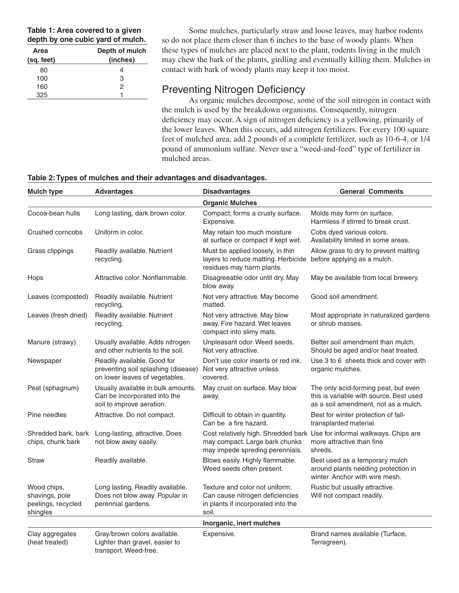**Table 1: Area covered to a given depth by one cubic yard of mulch.**

| Area       | Depth of mulch |
|------------|----------------|
| (sq. feet) | (inches)       |
| 80         |                |
| 100        | З              |
| 160        | 2              |
| 325        |                |

Some mulches, particularly straw and loose leaves, may harbor rodents so do not place them closer than 6 inches to the base of woody plants. When these types of mulches are placed next to the plant, rodents living in the mulch may chew the bark of the plants, girdling and eventually killing them. Mulches in contact with bark of woody plants may keep it too moist.

### Preventing Nitrogen Deficiency

As organic mulches decompose, some of the soil nitrogen in contact with the mulch is used by the breakdown organisms. Consequently, nitrogen deficiency may occur. A sign of nitrogen deficiency is a yellowing, primarily of the lower leaves. When this occurs, add nitrogen fertilizers. For every 100 square feet of mulched area, add 2 pounds of a complete fertilizer, such as 10-6-4, or 1/4 pound of ammonium sulfate. Never use a "weed-and-feed" type of fertilizer in mulched areas.

| Table 2: Types of mulches and their advantages and disadvantages. |
|-------------------------------------------------------------------|
|-------------------------------------------------------------------|

| <b>Mulch type</b>                                               | <b>Advantages</b>                                                                                    | <b>Disadvantages</b>                                                                                             | <b>General Comments</b>                                                                                                 |
|-----------------------------------------------------------------|------------------------------------------------------------------------------------------------------|------------------------------------------------------------------------------------------------------------------|-------------------------------------------------------------------------------------------------------------------------|
|                                                                 |                                                                                                      | <b>Organic Mulches</b>                                                                                           |                                                                                                                         |
| Cocoa-bean hulls                                                | Long lasting, dark brown color.                                                                      | Compact; forms a crusty surface.<br>Expensive.                                                                   | Molds may form on surface.<br>Harmless if stirred to break crust.                                                       |
| Crushed corncobs                                                | Uniform in color.                                                                                    | May retain too much moisture<br>at surface or compact if kept wet.                                               | Cobs dyed various colors.<br>Availability limited in some areas.                                                        |
| Grass clippings                                                 | Readily available. Nutrient<br>recycling.                                                            | Must be applied loosely, in thin<br>layers to reduce matting. Herbicide<br>residues may harm plants.             | Allow grass to dry to prevent matting<br>before applying as a mulch.                                                    |
| Hops                                                            | Attractive color. Nonflammable.                                                                      | Disagreeable odor until dry. May<br>blow away.                                                                   | May be available from local brewery.                                                                                    |
| Leaves (composted)                                              | Readily available. Nutrient<br>recycling.                                                            | Not very attractive. May become<br>matted.                                                                       | Good soil amendment.                                                                                                    |
| Leaves (fresh dried)                                            | Readily available. Nutrient<br>recycling.                                                            | Not very attractive. May blow<br>away. Fire hazard. Wet leaves<br>compact into slimy mats.                       | Most appropriate in naturalized gardens<br>or shrub masses.                                                             |
| Manure (strawy)                                                 | Usually available. Adds nitrogen<br>and other nutrients to the soil.                                 | Unpleasant odor. Weed seeds.<br>Not very attractive.                                                             | Better soil amendment than mulch.<br>Should be aged and/or heat treated.                                                |
| Newspaper                                                       | Readily available. Good for<br>preventing soil splashing (disease)<br>on lower leaves of vegetables. | Don't use color inserts or red ink.<br>Not very attractive unless<br>covered.                                    | Use 3 to 6 sheets thick and cover with<br>organic mulches.                                                              |
| Peat (sphagnum)                                                 | Usually available in bulk amounts.<br>Can be incorporated into the<br>soil to improve aeration.      | May crust on surface. May blow<br>away.                                                                          | The only acid-forming peat, but even<br>this is variable with source. Best used<br>as a soil amendment, not as a mulch. |
| Pine needles                                                    | Attractive. Do not compact.                                                                          | Difficult to obtain in quantity.<br>Can be a fire hazard.                                                        | Best for winter protection of fall-<br>transplanted material.                                                           |
| Shredded bark, bark<br>chips, chunk bark                        | Long-lasting, attractive. Does<br>not blow away easily.                                              | may compact. Large bark chunks<br>may impede spreding perennials.                                                | Cost relatively high. Shredded bark Use for informal walkways. Chips are<br>more attractive than fine<br>shreds.        |
| <b>Straw</b>                                                    | Readily available.                                                                                   | Blows easily. Highly flammable.<br>Weed seeds often present.                                                     | Best used as a temporary mulch<br>around plants needing protection in<br>winter. Anchor with wire mesh.                 |
| Wood chips,<br>shavings, pole<br>peelings, recycled<br>shingles | Long lasting. Readily available.<br>Does not blow away. Popular in<br>perennial gardens.             | Texture and color not uniform.<br>Can cause nitrogen deficiencies<br>in plants if incorporated into the<br>soil. | Rustic but usually attractive.<br>Will not compact readily.                                                             |
|                                                                 |                                                                                                      | Inorganic, inert mulches                                                                                         |                                                                                                                         |
| Clay aggregates<br>(heat treated)                               | Gray/brown colors available.<br>Lighter than gravel, easier to<br>transport. Weed-free.              | Expensive.                                                                                                       | Brand names available (Turface,<br>Terragreen).                                                                         |